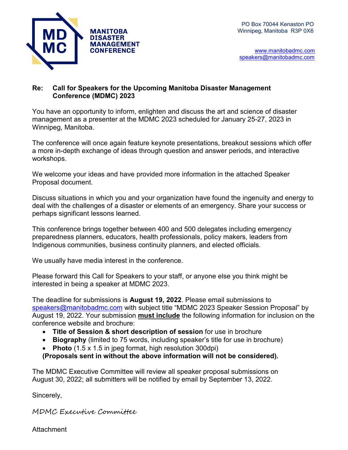

 [www.manitobadmc.com](http://www.manitobadmc.com/) [speakers@manitobadmc.com](mailto:speakers@manitobadmc.com)

# **Re: Call for Speakers for the Upcoming Manitoba Disaster Management Conference (MDMC) 2023**

You have an opportunity to inform, enlighten and discuss the art and science of disaster management as a presenter at the MDMC 2023 scheduled for January 25-27, 2023 in Winnipeg, Manitoba.

The conference will once again feature keynote presentations, breakout sessions which offer a more in-depth exchange of ideas through question and answer periods, and interactive workshops.

We welcome your ideas and have provided more information in the attached Speaker Proposal document.

Discuss situations in which you and your organization have found the ingenuity and energy to deal with the challenges of a disaster or elements of an emergency. Share your success or perhaps significant lessons learned.

This conference brings together between 400 and 500 delegates including emergency preparedness planners, educators, health professionals, policy makers, leaders from Indigenous communities, business continuity planners, and elected officials.

We usually have media interest in the conference.

Please forward this Call for Speakers to your staff, or anyone else you think might be interested in being a speaker at MDMC 2023.

The deadline for submissions is **August 19, 2022**. Please email submissions to [speakers@manitobadmc.com](mailto:speakers@manitobadmc.com) with subject title "MDMC 2023 Speaker Session Proposal" by August 19, 2022. Your submission **must include** the following information for inclusion on the conference website and brochure:

- **Title of Session & short description of session** for use in brochure
- **Biography** (limited to 75 words, including speaker's title for use in brochure)
- **Photo** (1.5 x 1.5 in jpeg format, high resolution 300dpi)

**(Proposals sent in without the above information will not be considered).**

The MDMC Executive Committee will review all speaker proposal submissions on August 30, 2022; all submitters will be notified by email by September 13, 2022.

Sincerely,

MDMC Executive Committee

Attachment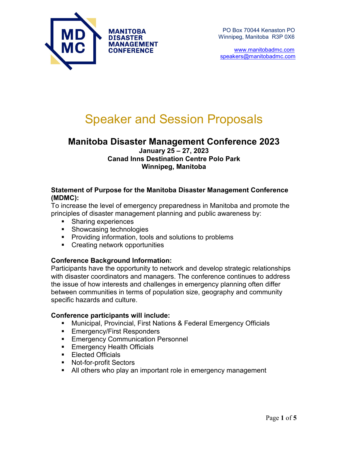

 [www.manitobadmc.com](http://www.manitobadmc.com/) [speakers@manitobadmc.com](mailto:speakers@manitobadmc.com)

# Speaker and Session Proposals

# **Manitoba Disaster Management Conference 2023**

### **January 25 – 27, 2023 Canad Inns Destination Centre Polo Park Winnipeg, Manitoba**

## **Statement of Purpose for the Manitoba Disaster Management Conference (MDMC):**

To increase the level of emergency preparedness in Manitoba and promote the principles of disaster management planning and public awareness by:

- Sharing experiences
- **Showcasing technologies**
- **Providing information, tools and solutions to problems**
- **Creating network opportunities**

# **Conference Background Information:**

Participants have the opportunity to network and develop strategic relationships with disaster coordinators and managers. The conference continues to address the issue of how interests and challenges in emergency planning often differ between communities in terms of population size, geography and community specific hazards and culture.

## **Conference participants will include:**

- Municipal, Provincial, First Nations & Federal Emergency Officials
- **Emergency/First Responders**
- **Emergency Communication Personnel**
- **Emergency Health Officials**
- **Elected Officials**
- **Not-for-profit Sectors**
- All others who play an important role in emergency management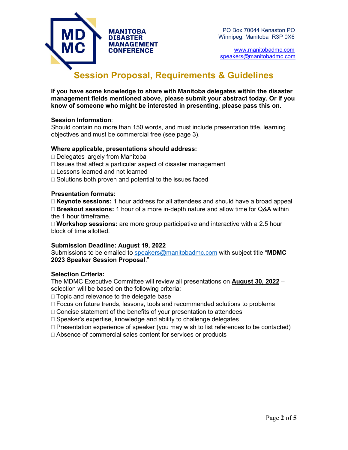

CONFERENCE WWW.manitobadmc.com [speakers@manitobadmc.com](mailto:speakers@manitobadmc.com)

# **Session Proposal, Requirements & Guidelines**

**If you have some knowledge to share with Manitoba delegates within the disaster management fields mentioned above, please submit your abstract today. Or if you know of someone who might be interested in presenting, please pass this on.**

#### **Session Information**:

Should contain no more than 150 words, and must include presentation title, learning objectives and must be commercial free (see page 3).

#### **Where applicable, presentations should address:**

- □ Delegates largely from Manitoba
- $\Box$  Issues that affect a particular aspect of disaster management
- □ Lessons learned and not learned
- $\Box$  Solutions both proven and potential to the issues faced

#### **Presentation formats:**

 **Keynote sessions:** 1 hour address for all attendees and should have a broad appeal **Breakout sessions:** 1 hour of a more in-depth nature and allow time for Q&A within the 1 hour timeframe.

 **Workshop sessions:** are more group participative and interactive with a 2.5 hour block of time allotted.

#### **Submission Deadline: August 19, 2022**

Submissions to be emailed to [speakers@manitobadmc.com](mailto:speakers@manitobadmc.com) with subject title "**MDMC 2023 Speaker Session Proposal**."

#### **Selection Criteria:**

The MDMC Executive Committee will review all presentations on **August 30, 2022** – selection will be based on the following criteria:

 $\Box$  Topic and relevance to the delegate base

- Focus on future trends, lessons, tools and recommended solutions to problems
- $\Box$  Concise statement of the benefits of your presentation to attendees
- $\Box$  Speaker's expertise, knowledge and ability to challenge delegates
- $\Box$  Presentation experience of speaker (you may wish to list references to be contacted)
- □ Absence of commercial sales content for services or products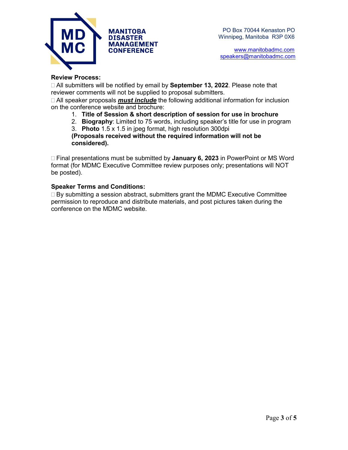

CONFERENCE WWW.manitobadmc.com [speakers@manitobadmc.com](mailto:speakers@manitobadmc.com)

#### **Review Process:**

 All submitters will be notified by email by **September 13, 2022**. Please note that reviewer comments will not be supplied to proposal submitters.

 All speaker proposals *must include* the following additional information for inclusion on the conference website and brochure:

- 1. **Title of Session & short description of session for use in brochure**
- 2. **Biography**: Limited to 75 words, including speaker's title for use in program
- 3. **Photo** 1.5 x 1.5 in jpeg format, high resolution 300dpi

**(Proposals received without the required information will not be considered).** 

 Final presentations must be submitted by **January 6, 2023** in PowerPoint or MS Word format (for MDMC Executive Committee review purposes only; presentations will NOT be posted).

#### **Speaker Terms and Conditions:**

 $\Box$  By submitting a session abstract, submitters grant the MDMC Executive Committee permission to reproduce and distribute materials, and post pictures taken during the conference on the MDMC website.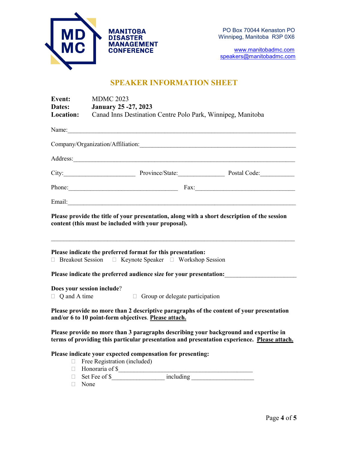

[speakers@manitobadmc.com](mailto:speakers@manitobadmc.com)

# **SPEAKER INFORMATION SHEET**

| Event:              | <b>MDMC 2023</b>                                                                                                                                                                                                                                                                                                                                    |  |
|---------------------|-----------------------------------------------------------------------------------------------------------------------------------------------------------------------------------------------------------------------------------------------------------------------------------------------------------------------------------------------------|--|
| Dates:              | <b>January 25 -27, 2023</b>                                                                                                                                                                                                                                                                                                                         |  |
| <b>Location:</b>    | Canad Inns Destination Centre Polo Park, Winnipeg, Manitoba                                                                                                                                                                                                                                                                                         |  |
| Name:               | <u> 1980 - Johann John Stein, fransk kampens og det ble større og det ble større og det ble større og det ble stø</u>                                                                                                                                                                                                                               |  |
|                     | Company/Organization/Affiliation:                                                                                                                                                                                                                                                                                                                   |  |
|                     |                                                                                                                                                                                                                                                                                                                                                     |  |
|                     | City: Province/State: Province / Postal Code:                                                                                                                                                                                                                                                                                                       |  |
|                     | Phone: Fax: Fax:                                                                                                                                                                                                                                                                                                                                    |  |
|                     |                                                                                                                                                                                                                                                                                                                                                     |  |
|                     | Please provide the title of your presentation, along with a short description of the session<br>content (this must be included with your proposal).<br>Please indicate the preferred format for this presentation:<br>□ Breakout Session □ Keynote Speaker □ Workshop Session<br>Please indicate the preferred audience size for your presentation: |  |
|                     | Does your session include?                                                                                                                                                                                                                                                                                                                          |  |
| $\Box$ Q and A time | $\Box$ Group or delegate participation                                                                                                                                                                                                                                                                                                              |  |
|                     | Please provide no more than 2 descriptive paragraphs of the content of your presentation<br>and/or 6 to 10 point-form objectives. Please attach.                                                                                                                                                                                                    |  |
|                     | Please provide no more than 3 paragraphs describing your background and expertise in<br>terms of providing this particular presentation and presentation experience. Please attach.                                                                                                                                                                 |  |
| $\Box$<br>$\Box$    | Please indicate your expected compensation for presenting:<br>Free Registration (included)<br>Honoraria of \$                                                                                                                                                                                                                                       |  |
| П.                  | $\overline{\text{including}}$<br>Set Fee of \$                                                                                                                                                                                                                                                                                                      |  |

None